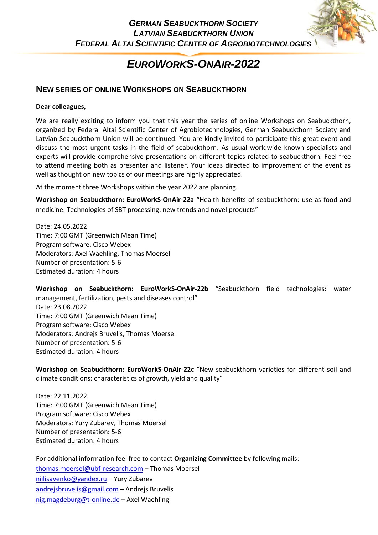## *EUROWORKS-ONAIR-2022*

### **NEW SERIES OF ONLINE WORKSHOPS ON SEABUCKTHORN**

#### **Dear colleagues,**

We are really exciting to inform you that this year the series of online Workshops on Seabuckthorn, organized by Federal Altai Scientific Center of Agrobiotechnologies, German Seabuckthorn Society and Latvian Seabuckthorn Union will be continued. You are kindly invited to participate this great event and discuss the most urgent tasks in the field of seabuckthorn. As usual worldwide known specialists and experts will provide comprehensive presentations on different topics related to seabuckthorn. Feel free to attend meeting both as presenter and listener. Your ideas directed to improvement of the event as well as thought on new topics of our meetings are highly appreciated.

At the moment three Workshops within the year 2022 are planning.

**Workshop on Seabuckthorn: EuroWorkS-OnAir-22a** "Health benefits of seabuckthorn: use as food and medicine. Technologies of SBT processing: new trends and novel products"

Date: 24.05.2022 Time: 7:00 GMT (Greenwich Mean Time) Program software: Cisco Webex Moderators: Axel Waehling, Thomas Moersel Number of presentation: 5-6 Estimated duration: 4 hours

**Workshop on Seabuckthorn: EuroWorkS-OnAir-22b** "Seabuckthorn field technologies: water management, fertilization, pests and diseases control" Date: 23.08.2022 Time: 7:00 GMT (Greenwich Mean Time) Program software: Cisco Webex Moderators: Andrejs Bruvelis, Thomas Moersel Number of presentation: 5-6 Estimated duration: 4 hours

**Workshop on Seabuckthorn: EuroWorkS-OnAir-22c** "New seabuckthorn varieties for different soil and climate conditions: characteristics of growth, yield and quality"

Date: 22.11.2022 Time: 7:00 GMT (Greenwich Mean Time) Program software: Cisco Webex Moderators: Yury Zubarev, Thomas Moersel Number of presentation: 5-6 Estimated duration: 4 hours

For additional information feel free to contact **Organizing Committee** by following mails: [thomas.moersel@ubf-research.com](mailto:thomas.moersel@ubf-research.com) – Thomas Moersel [niilisavenko@yandex.ru](mailto:niilisavenko@yandex.ru) – Yury Zubarev [andrejsbruvelis@gmail.com](mailto:andrejsbruvelis@gmail.com) – Andrejs Bruvelis [nig.magdeburg@t-online.de](mailto:nig.magdeburg@t-online.de) – Axel Waehling